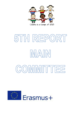

## 5TH REPORT IMANIN COMMITTEE

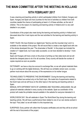## **THE MAIN COMMITTEE AFTER THE MEETING IN HOLLAND 10TH FEBRUARY 2017**

It was a learning and teaching activity in which participated children from Holland, Hungary and Spain. Hungary and Spain are host countries for this kind of activities so children from both countries needed the chance of participating at least in 2 of these activities, as the rest of children. This is the reason of a teaching and learning activity in Holland and it is very well detailed in our project.

Coordinators of the project also meet during the learning and teaching activity in Holland and discussed about the 4 main topics and the next activities for the learning and teaching activity in Spain.

FAIRY TALES: We have finished our digital book "Sammy and the mountain king" and it is available on the website of the project. We will record files to create a new digital book with one of the stories developed this year "The shoemaker of Seville". In the project we included the creation of 1 digital book, but it was really successful, so we have decided to develop 1 more this year.

Spain and Hungary will have a look on the prices of printing our fairy tales book and we will decide the cheapest place to do it for all countries. Every country will decide the number of copies required as soon as possible.

DICTIONARY: we have a drop box account to exchange files, so we will upload materials there to go on working with the digital dictionary. We will have our printable version soon, so every partner must ensure about the accuracy of the expressions on its mother tongue.

TECHNOLOGIES TO PRESERVE THE ENVIRONMENT: During the learning and teaching activity in Holland we worked only on the Dutch topic. We made lots of experiments related to the Dutch topic and we will focus on the other topics in the learning and teaching activity in Spain.

MANUAL WITH DIFFERENT WAYS OF LEARNING AND TEACHING LANGUAGES: We will upload all materials collected in every country to the website. Spain as coordinator of this product will create the printable manual available in the website for everyone interested in it.

WORLD BOOK DAY: We will celebrate in Spain The World Book Day during the learning and teaching activity. We will have a performance there related to one of our own stories worked in the topic "Fairy tales" so we will relate it to this important day.

EUROPASS: Every partner will collect their Europass certificates and and they will be at school with the rest of documents of the project.